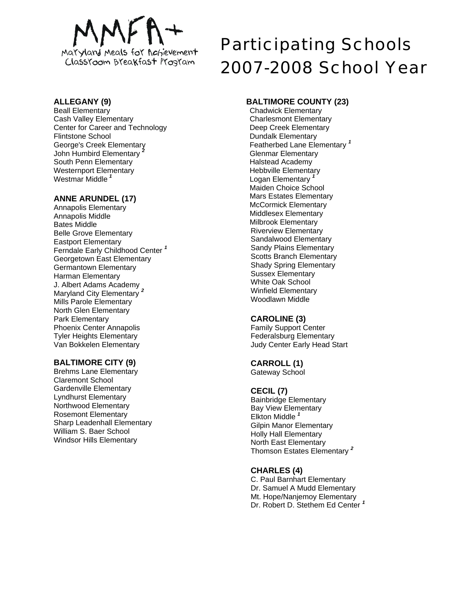

# **ALLEGANY (9)**

Beall Elementary Cash Valley Elementary Center for Career and Technology Flintstone School George's Creek Elementary John Humbird Elementary *<sup>2</sup>* South Penn Elementary Westernport Elementary Westmar Middle *<sup>1</sup>*

## **ANNE ARUNDEL (17)**

Annapolis Elementary Annapolis Middle Bates Middle Belle Grove Elementary Eastport Elementary Ferndale Early Childhood Center *<sup>1</sup>* Georgetown East Elementary Germantown Elementary Harman Elementary J. Albert Adams Academy Maryland City Elementary *<sup>2</sup>* Mills Parole Elementary North Glen Elementary Park Elementary Phoenix Center Annapolis Tyler Heights Elementary Van Bokkelen Elementary

# **BALTIMORE CITY (9)**

Brehms Lane Elementary Claremont School Gardenville Elementary Lyndhurst Elementary Northwood Elementary Rosemont Elementary Sharp Leadenhall Elementary William S. Baer School Windsor Hills Elementary

# Participating Schools 2007-2008 School Year

# **BALTIMORE COUNTY (23)**

Chadwick Elementary Charlesmont Elementary Deep Creek Elementary Dundalk Elementary Featherbed Lane Elementary *<sup>1</sup>* Glenmar Elementary Halstead Academy Hebbville Elementary **Logan Elementary** Maiden Choice School Mars Estates Elementary McCormick Elementary Middlesex Elementary Milbrook Elementary Riverview Elementary Sandalwood Elementary Sandy Plains Elementary Scotts Branch Elementary Shady Spring Elementary Sussex Elementary White Oak School Winfield Elementary Woodlawn Middle

# **CAROLINE (3)**

Family Support Center Federalsburg Elementary Judy Center Early Head Start

# **CARROLL (1)**

Gateway School

# **CECIL (7)**

Bainbridge Elementary Bay View Elementary Elkton Middle *<sup>1</sup>* Gilpin Manor Elementary Holly Hall Elementary North East Elementary Thomson Estates Elementary *<sup>2</sup>*

# **CHARLES (4)**

C. Paul Barnhart Elementary Dr. Samuel A Mudd Elementary Mt. Hope/Nanjemoy Elementary Dr. Robert D. Stethem Ed Center *<sup>1</sup>*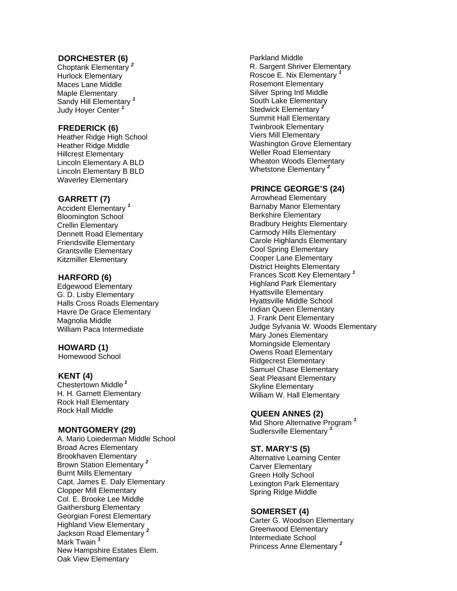#### **DORCHESTER (6)**

Choptank Elementary *<sup>2</sup>* Hurlock Elementary Maces Lane Middle Maple Elementary Sandy Hill Elementary *<sup>1</sup>* Judy Hoyer Center *1*

#### **FREDERICK (6)**

Heather Ridge High School Heather Ridge Middle Hillcrest Elementary Lincoln Elementary A BLD Lincoln Elementary B BLD Waverley Elementary

#### **GARRETT (7)**

Accident Elementary *1* Bloomington School Crellin Elementary Dennett Road Elementary Friendsville Elementary Grantsville Elementary Kitzmiller Elementary

#### **HARFORD (6)**

Edgewood Elementary G. D. Lisby Elementary Halls Cross Roads Elementary Havre De Grace Elementary Magnolia Middle William Paca Intermediate

#### **HOWARD (1)**

Homewood School

#### **KENT (4)**

Chestertown Middle*<sup>1</sup>* H. H. Garnett Elementary Rock Hall Elementary Rock Hall Middle

#### **MONTGOMERY (29)**

A. Mario Loiederman Middle School Broad Acres Elementary Brookhaven Elementary Brown Station Elementary *<sup>2</sup>* Burnt Mills Elementary Capt. James E. Daly Elementary Clopper Mill Elementary Col. E. Brooke Lee Middle Gaithersburg Elementary Georgian Forest Elementary Highland View Elementary Jackson Road Elementary *<sup>2</sup>* Mark Twain *1* New Hampshire Estates Elem. Oak View Elementary

Parkland Middle R. Sargent Shriver Elementary Roscoe E. Nix Elementary *1* Rosemont Elementary Silver Spring Intl Middle South Lake Elementary Stedwick Elementary *<sup>2</sup>* Summit Hall Elementary Twinbrook Elementary Viers Mill Elementary Washington Grove Elementary Weller Road Elementary Wheaton Woods Elementary Whetstone Elementary *2*

#### **PRINCE GEORGE'S (24)**

Arrowhead Elementary Barnaby Manor Elementary Berkshire Elementary Bradbury Heights Elementary Carmody Hills Elementary Carole Highlands Elementary Cool Spring Elementary Cooper Lane Elementary District Heights Elementary Frances Scott Key Elementary *1* Highland Park Elementary Hyattsville Elementary Hyattsville Middle School Indian Queen Elementary J. Frank Dent Elementary Judge Sylvania W. Woods Elementary Mary Jones Elementary Morningside Elementary Owens Road Elementary Ridgecrest Elementary Samuel Chase Elementary Seat Pleasant Elementary Skyline Elementary William W. Hall Elementary

#### **QUEEN ANNES (2)**

Mid Shore Alternative Program *<sup>1</sup>* Sudlersville Elementary *<sup>1</sup>*

#### **ST. MARY'S (5)**

Alternative Learning Center Carver Elementary Green Holly School Lexington Park Elementary Spring Ridge Middle

#### **SOMERSET (4)**

Carter G. Woodson Elementary Greenwood Elementary Intermediate School Princess Anne Elementary *<sup>2</sup>*